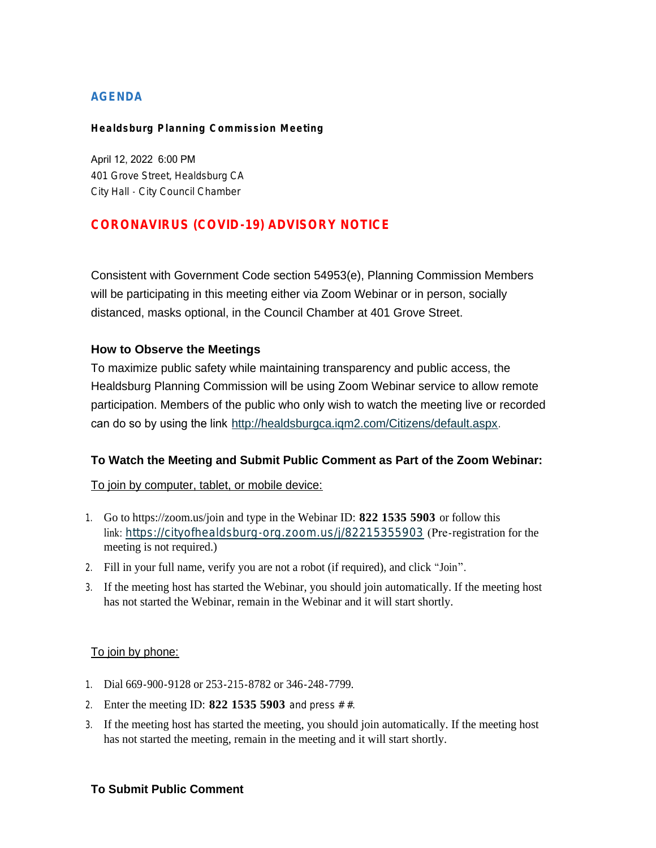## **AGENDA**

#### **Healdsburg Planning Commission Meeting**

April 12, 2022 6:00 PM 401 Grove Street, Healdsburg CA City Hall - City Council Chamber

# **CORONAVIRUS (COVID-19) ADVISORY NOTICE**

Consistent with Government Code section 54953(e), Planning Commission Members will be participating in this meeting either via Zoom Webinar or in person, socially distanced, masks optional, in the Council Chamber at 401 Grove Street.

#### **How to Observe the Meetings**

To maximize public safety while maintaining transparency and public access, the Healdsburg Planning Commission will be using Zoom Webinar service to allow remote participation. Members of the public who only wish to watch the meeting live or recorded can do so by using the link <http://healdsburgca.iqm2.com/Citizens/default.aspx>.

### **To Watch the Meeting and Submit Public Comment as Part of the Zoom Webinar:**

To join by computer, tablet, or mobile device:

- 1. Go to https://zoom.us/join and type in the Webinar ID: **822 1535 5903** or follow this link: <https://cityofhealdsburg-org.zoom.us/j/82215355903> (Pre-registration for the meeting is not required.)
- 2. Fill in your full name, verify you are not a robot (if required), and click "Join".
- 3. If the meeting host has started the Webinar, you should join automatically. If the meeting host has not started the Webinar, remain in the Webinar and it will start shortly.

#### To join by phone:

- 1. Dial 669-900-9128 or 253-215-8782 or 346-248-7799.
- 2. Enter the meeting ID: **822 1535 5903** and press # #.
- 3. If the meeting host has started the meeting, you should join automatically. If the meeting host has not started the meeting, remain in the meeting and it will start shortly.

#### **To Submit Public Comment**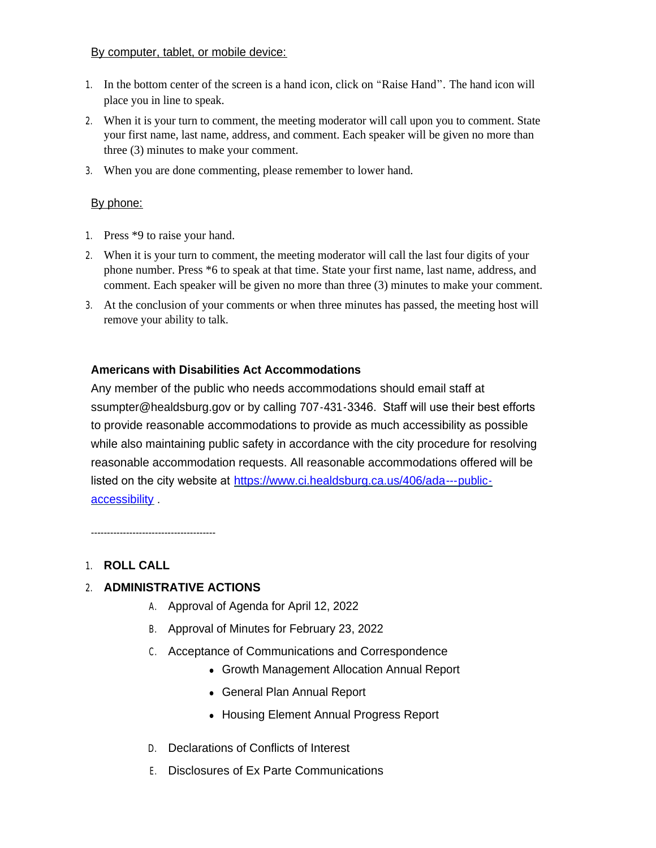#### By computer, tablet, or mobile device:

- 1. In the bottom center of the screen is a hand icon, click on "Raise Hand". The hand icon will place you in line to speak.
- 2. When it is your turn to comment, the meeting moderator will call upon you to comment. State your first name, last name, address, and comment. Each speaker will be given no more than three (3) minutes to make your comment.
- 3. When you are done commenting, please remember to lower hand.

## By phone:

- 1. Press \*9 to raise your hand.
- 2. When it is your turn to comment, the meeting moderator will call the last four digits of your phone number. Press \*6 to speak at that time. State your first name, last name, address, and comment. Each speaker will be given no more than three (3) minutes to make your comment.
- 3. At the conclusion of your comments or when three minutes has passed, the meeting host will remove your ability to talk.

### **Americans with Disabilities Act Accommodations**

Any member of the public who needs accommodations should email staff at ssumpter@healdsburg.gov or by calling 707-431-3346. Staff will use their best efforts to provide reasonable accommodations to provide as much accessibility as possible while also maintaining public safety in accordance with the city procedure for resolving reasonable accommodation requests. All reasonable accommodations offered will be listed on the city website at https://www.ci.healdsburg.ca.us/406/ada---publicaccessibility .

---------------------------------------

# 1. **ROLL CALL**

# 2. **ADMINISTRATIVE ACTIONS**

- A. Approval of Agenda for April 12, 2022
- B. Approval of Minutes for February 23, 2022
- C. Acceptance of Communications and Correspondence
	- Growth Management Allocation Annual Report
	- General Plan Annual Report
	- Housing Element Annual Progress Report
- D. Declarations of Conflicts of Interest
- E. Disclosures of Ex Parte Communications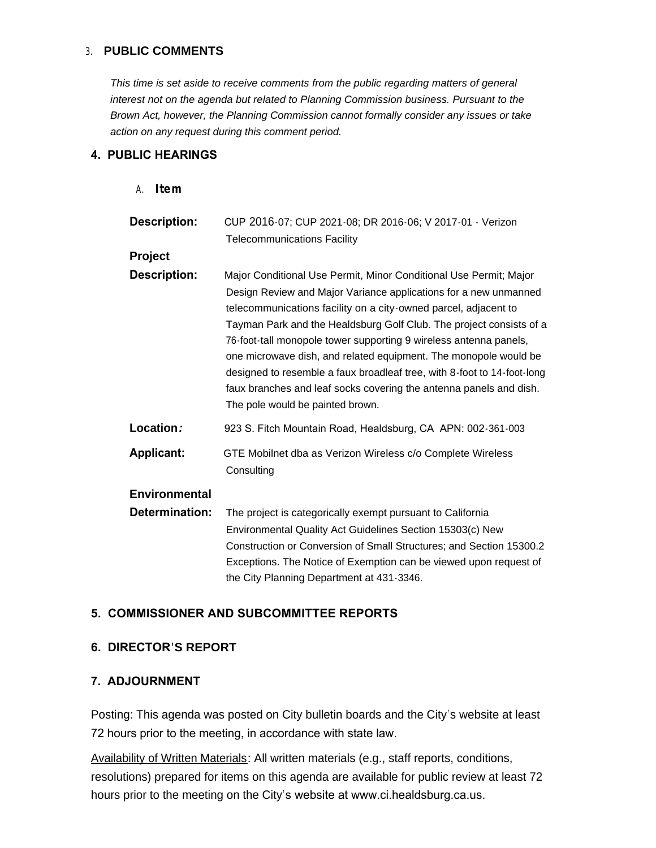### 3. **PUBLIC COMMENTS**

*This time is set aside to receive comments from the public regarding matters of general interest not on the agenda but related to Planning Commission business. Pursuant to the Brown Act, however, the Planning Commission cannot formally consider any issues or take action on any request during this comment period.*

### **4. PUBLIC HEARINGS**

A. **Item**

| <b>Description:</b>  | CUP 2016-07; CUP 2021-08; DR 2016-06; V 2017-01 - Verizon<br><b>Telecommunications Facility</b>                                                                                                                                                                                                                                                                                                                                                                                                                                                                                                               |
|----------------------|---------------------------------------------------------------------------------------------------------------------------------------------------------------------------------------------------------------------------------------------------------------------------------------------------------------------------------------------------------------------------------------------------------------------------------------------------------------------------------------------------------------------------------------------------------------------------------------------------------------|
| Project              |                                                                                                                                                                                                                                                                                                                                                                                                                                                                                                                                                                                                               |
| <b>Description:</b>  | Major Conditional Use Permit, Minor Conditional Use Permit; Major<br>Design Review and Major Variance applications for a new unmanned<br>telecommunications facility on a city-owned parcel, adjacent to<br>Tayman Park and the Healdsburg Golf Club. The project consists of a<br>76-foot-tall monopole tower supporting 9 wireless antenna panels,<br>one microwave dish, and related equipment. The monopole would be<br>designed to resemble a faux broadleaf tree, with 8-foot to 14-foot-long<br>faux branches and leaf socks covering the antenna panels and dish.<br>The pole would be painted brown. |
| Location:            | 923 S. Fitch Mountain Road, Healdsburg, CA APN: 002-361-003                                                                                                                                                                                                                                                                                                                                                                                                                                                                                                                                                   |
| <b>Applicant:</b>    | GTE Mobilnet dba as Verizon Wireless c/o Complete Wireless<br>Consulting                                                                                                                                                                                                                                                                                                                                                                                                                                                                                                                                      |
| <b>Environmental</b> |                                                                                                                                                                                                                                                                                                                                                                                                                                                                                                                                                                                                               |
| Determination:       | The project is categorically exempt pursuant to California<br>Environmental Quality Act Guidelines Section 15303(c) New<br>Construction or Conversion of Small Structures; and Section 15300.2<br>Exceptions. The Notice of Exemption can be viewed upon request of<br>the City Planning Department at 431-3346.                                                                                                                                                                                                                                                                                              |

# **5. COMMISSIONER AND SUBCOMMITTEE REPORTS**

### **6. DIRECTOR'S REPORT**

### **7. ADJOURNMENT**

Posting: This agenda was posted on City bulletin boards and the City's website at least 72 hours prior to the meeting, in accordance with state law.

Availability of Written Materials: All written materials (e.g., staff reports, conditions, resolutions) prepared for items on this agenda are available for public review at least 72 hours prior to the meeting on the City's website at www.ci.healdsburg.ca.us.